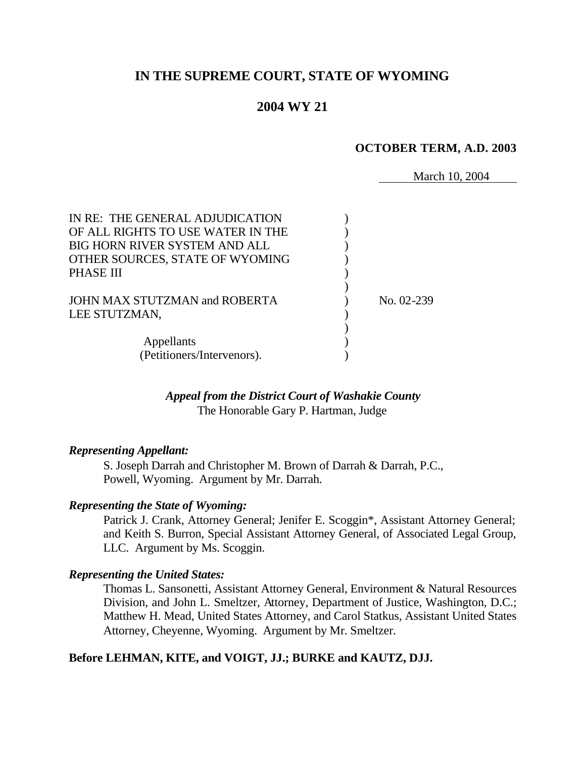# **IN THE SUPREME COURT, STATE OF WYOMING**

# **2004 WY 21**

### **OCTOBER TERM, A.D. 2003**

March 10, 2004

| IN RE: THE GENERAL ADJUDICATION<br>OF ALL RIGHTS TO USE WATER IN THE<br><b>BIG HORN RIVER SYSTEM AND ALL</b><br>OTHER SOURCES, STATE OF WYOMING<br><b>PHASE III</b> |            |
|---------------------------------------------------------------------------------------------------------------------------------------------------------------------|------------|
| JOHN MAX STUTZMAN and ROBERTA<br>LEE STUTZMAN,                                                                                                                      | No. 02-239 |
| Appellants<br>(Petitioners/Intervenors).                                                                                                                            |            |

### *Appeal from the District Court of Washakie County* The Honorable Gary P. Hartman, Judge

#### *Representing Appellant:*

S. Joseph Darrah and Christopher M. Brown of Darrah & Darrah, P.C., Powell, Wyoming. Argument by Mr. Darrah.

#### *Representing the State of Wyoming:*

Patrick J. Crank, Attorney General; Jenifer E. Scoggin\*, Assistant Attorney General; and Keith S. Burron, Special Assistant Attorney General, of Associated Legal Group, LLC. Argument by Ms. Scoggin.

### *Representing the United States:*

Thomas L. Sansonetti, Assistant Attorney General, Environment & Natural Resources Division, and John L. Smeltzer, Attorney, Department of Justice, Washington, D.C.; Matthew H. Mead, United States Attorney, and Carol Statkus, Assistant United States Attorney, Cheyenne, Wyoming. Argument by Mr. Smeltzer.

### **Before LEHMAN, KITE, and VOIGT, JJ.; BURKE and KAUTZ, DJJ.**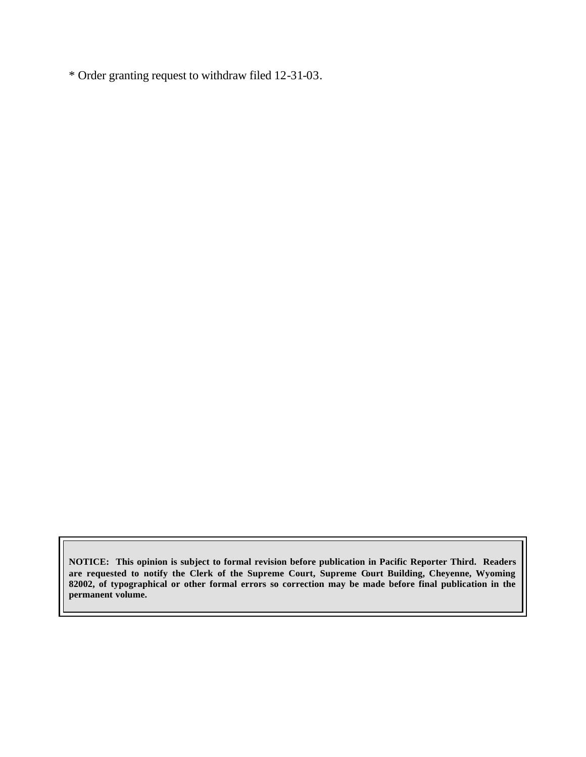\* Order granting request to withdraw filed 12-31-03.

**NOTICE: This opinion is subject to formal revision before publication in Pacific Reporter Third. Readers are requested to notify the Clerk of the Supreme Court, Supreme Court Building, Cheyenne, Wyoming 82002, of typographical or other formal errors so correction may be made before final publication in the permanent volume.**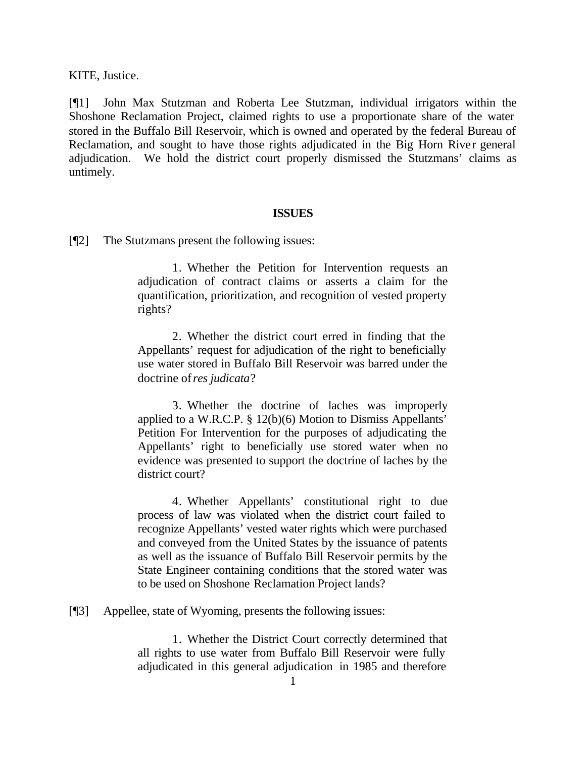KITE, Justice.

[¶1] John Max Stutzman and Roberta Lee Stutzman, individual irrigators within the Shoshone Reclamation Project, claimed rights to use a proportionate share of the water stored in the Buffalo Bill Reservoir, which is owned and operated by the federal Bureau of Reclamation, and sought to have those rights adjudicated in the Big Horn River general adjudication. We hold the district court properly dismissed the Stutzmans' claims as untimely.

#### **ISSUES**

[¶2] The Stutzmans present the following issues:

1. Whether the Petition for Intervention requests an adjudication of contract claims or asserts a claim for the quantification, prioritization, and recognition of vested property rights?

2. Whether the district court erred in finding that the Appellants' request for adjudication of the right to beneficially use water stored in Buffalo Bill Reservoir was barred under the doctrine of *res judicata*?

3. Whether the doctrine of laches was improperly applied to a W.R.C.P. § 12(b)(6) Motion to Dismiss Appellants' Petition For Intervention for the purposes of adjudicating the Appellants' right to beneficially use stored water when no evidence was presented to support the doctrine of laches by the district court?

4. Whether Appellants' constitutional right to due process of law was violated when the district court failed to recognize Appellants' vested water rights which were purchased and conveyed from the United States by the issuance of patents as well as the issuance of Buffalo Bill Reservoir permits by the State Engineer containing conditions that the stored water was to be used on Shoshone Reclamation Project lands?

[¶3] Appellee, state of Wyoming, presents the following issues:

1. Whether the District Court correctly determined that all rights to use water from Buffalo Bill Reservoir were fully adjudicated in this general adjudication in 1985 and therefore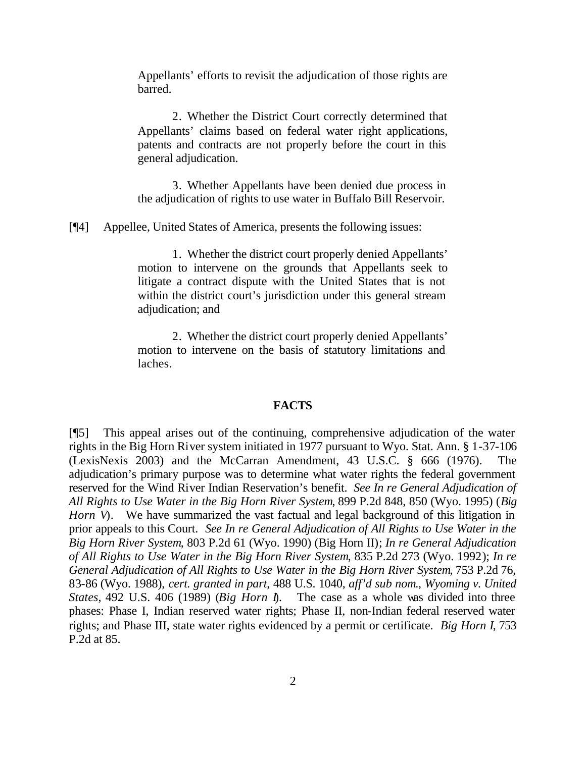Appellants' efforts to revisit the adjudication of those rights are barred.

2. Whether the District Court correctly determined that Appellants' claims based on federal water right applications, patents and contracts are not properly before the court in this general adjudication.

3. Whether Appellants have been denied due process in the adjudication of rights to use water in Buffalo Bill Reservoir.

[¶4] Appellee, United States of America, presents the following issues:

1. Whether the district court properly denied Appellants' motion to intervene on the grounds that Appellants seek to litigate a contract dispute with the United States that is not within the district court's jurisdiction under this general stream adjudication; and

2. Whether the district court properly denied Appellants' motion to intervene on the basis of statutory limitations and laches.

#### **FACTS**

[¶5] This appeal arises out of the continuing, comprehensive adjudication of the water rights in the Big Horn River system initiated in 1977 pursuant to Wyo. Stat. Ann. § 1-37-106 (LexisNexis 2003) and the McCarran Amendment, 43 U.S.C. § 666 (1976). The adjudication's primary purpose was to determine what water rights the federal government reserved for the Wind River Indian Reservation's benefit. *See In re General Adjudication of All Rights to Use Water in the Big Horn River System*, 899 P.2d 848, 850 (Wyo. 1995) (*Big Horn V*). We have summarized the vast factual and legal background of this litigation in prior appeals to this Court. *See In re General Adjudication of All Rights to Use Water in the Big Horn River System*, 803 P.2d 61 (Wyo. 1990) (Big Horn II); *In re General Adjudication of All Rights to Use Water in the Big Horn River System*, 835 P.2d 273 (Wyo. 1992); *In re General Adjudication of All Rights to Use Water in the Big Horn River System*, 753 P.2d 76, 83-86 (Wyo. 1988), *cert. granted in part*, 488 U.S. 1040, *aff'd sub nom*., *Wyoming v. United States*, 492 U.S. 406 (1989) (*Big Horn I*). The case as a whole was divided into three phases: Phase I, Indian reserved water rights; Phase II, non-Indian federal reserved water rights; and Phase III, state water rights evidenced by a permit or certificate. *Big Horn I*, 753 P.2d at 85.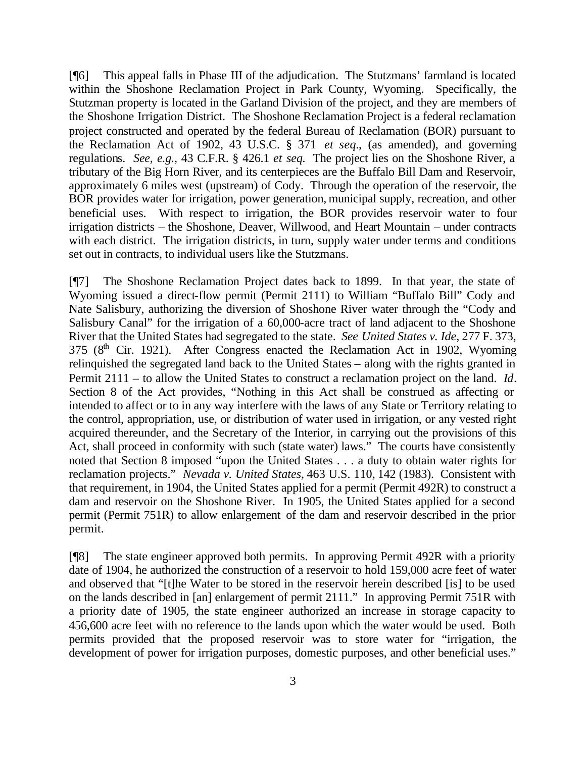[¶6] This appeal falls in Phase III of the adjudication. The Stutzmans' farmland is located within the Shoshone Reclamation Project in Park County, Wyoming. Specifically, the Stutzman property is located in the Garland Division of the project, and they are members of the Shoshone Irrigation District. The Shoshone Reclamation Project is a federal reclamation project constructed and operated by the federal Bureau of Reclamation (BOR) pursuant to the Reclamation Act of 1902, 43 U.S.C. § 371 *et seq.*, (as amended), and governing regulations. *See, e.g.,* 43 C.F.R. § 426.1 *et seq.* The project lies on the Shoshone River, a tributary of the Big Horn River, and its centerpieces are the Buffalo Bill Dam and Reservoir, approximately 6 miles west (upstream) of Cody. Through the operation of the reservoir, the BOR provides water for irrigation, power generation, municipal supply, recreation, and other beneficial uses. With respect to irrigation, the BOR provides reservoir water to four irrigation districts – the Shoshone, Deaver, Willwood, and Heart Mountain – under contracts with each district. The irrigation districts, in turn, supply water under terms and conditions set out in contracts, to individual users like the Stutzmans.

[¶7] The Shoshone Reclamation Project dates back to 1899. In that year, the state of Wyoming issued a direct-flow permit (Permit 2111) to William "Buffalo Bill" Cody and Nate Salisbury, authorizing the diversion of Shoshone River water through the "Cody and Salisbury Canal" for the irrigation of a 60,000-acre tract of land adjacent to the Shoshone River that the United States had segregated to the state. *See United States v. Ide*, 277 F. 373,  $375$  ( $8<sup>th</sup>$  Cir. 1921). After Congress enacted the Reclamation Act in 1902, Wyoming relinquished the segregated land back to the United States – along with the rights granted in Permit 2111 – to allow the United States to construct a reclamation project on the land. *Id*. Section 8 of the Act provides, "Nothing in this Act shall be construed as affecting or intended to affect or to in any way interfere with the laws of any State or Territory relating to the control, appropriation, use, or distribution of water used in irrigation, or any vested right acquired thereunder, and the Secretary of the Interior, in carrying out the provisions of this Act, shall proceed in conformity with such (state water) laws." The courts have consistently noted that Section 8 imposed "upon the United States . . . a duty to obtain water rights for reclamation projects." *Nevada v. United States,* 463 U.S. 110, 142 (1983). Consistent with that requirement, in 1904, the United States applied for a permit (Permit 492R) to construct a dam and reservoir on the Shoshone River. In 1905, the United States applied for a second permit (Permit 751R) to allow enlargement of the dam and reservoir described in the prior permit.

[¶8] The state engineer approved both permits. In approving Permit 492R with a priority date of 1904, he authorized the construction of a reservoir to hold 159,000 acre feet of water and observed that "[t]he Water to be stored in the reservoir herein described [is] to be used on the lands described in [an] enlargement of permit 2111." In approving Permit 751R with a priority date of 1905, the state engineer authorized an increase in storage capacity to 456,600 acre feet with no reference to the lands upon which the water would be used. Both permits provided that the proposed reservoir was to store water for "irrigation, the development of power for irrigation purposes, domestic purposes, and other beneficial uses."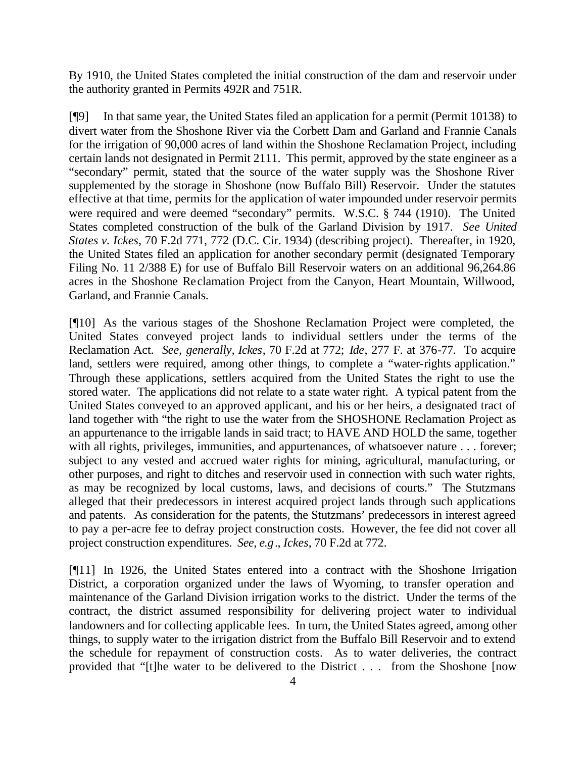By 1910, the United States completed the initial construction of the dam and reservoir under the authority granted in Permits 492R and 751R.

[¶9] In that same year, the United States filed an application for a permit (Permit 10138) to divert water from the Shoshone River via the Corbett Dam and Garland and Frannie Canals for the irrigation of 90,000 acres of land within the Shoshone Reclamation Project, including certain lands not designated in Permit 2111. This permit, approved by the state engineer as a "secondary" permit, stated that the source of the water supply was the Shoshone River supplemented by the storage in Shoshone (now Buffalo Bill) Reservoir. Under the statutes effective at that time, permits for the application of water impounded under reservoir permits were required and were deemed "secondary" permits. W.S.C. § 744 (1910). The United States completed construction of the bulk of the Garland Division by 1917. *See United States v. Ickes*, 70 F.2d 771, 772 (D.C. Cir. 1934) (describing project). Thereafter, in 1920, the United States filed an application for another secondary permit (designated Temporary Filing No. 11 2/388 E) for use of Buffalo Bill Reservoir waters on an additional 96,264.86 acres in the Shoshone Reclamation Project from the Canyon, Heart Mountain, Willwood, Garland, and Frannie Canals.

[¶10] As the various stages of the Shoshone Reclamation Project were completed, the United States conveyed project lands to individual settlers under the terms of the Reclamation Act. *See, generally, Ickes*, 70 F.2d at 772; *Ide*, 277 F. at 376-77. To acquire land, settlers were required, among other things, to complete a "water-rights application." Through these applications, settlers acquired from the United States the right to use the stored water. The applications did not relate to a state water right. A typical patent from the United States conveyed to an approved applicant, and his or her heirs, a designated tract of land together with "the right to use the water from the SHOSHONE Reclamation Project as an appurtenance to the irrigable lands in said tract; to HAVE AND HOLD the same, together with all rights, privileges, immunities, and appurtenances, of whatsoever nature . . . forever; subject to any vested and accrued water rights for mining, agricultural, manufacturing, or other purposes, and right to ditches and reservoir used in connection with such water rights, as may be recognized by local customs, laws, and decisions of courts." The Stutzmans alleged that their predecessors in interest acquired project lands through such applications and patents. As consideration for the patents, the Stutzmans' predecessors in interest agreed to pay a per-acre fee to defray project construction costs. However, the fee did not cover all project construction expenditures. *See, e.g*., *Ickes*, 70 F.2d at 772.

[¶11] In 1926, the United States entered into a contract with the Shoshone Irrigation District, a corporation organized under the laws of Wyoming, to transfer operation and maintenance of the Garland Division irrigation works to the district. Under the terms of the contract, the district assumed responsibility for delivering project water to individual landowners and for collecting applicable fees. In turn, the United States agreed, among other things, to supply water to the irrigation district from the Buffalo Bill Reservoir and to extend the schedule for repayment of construction costs. As to water deliveries, the contract provided that "[t]he water to be delivered to the District . . . from the Shoshone [now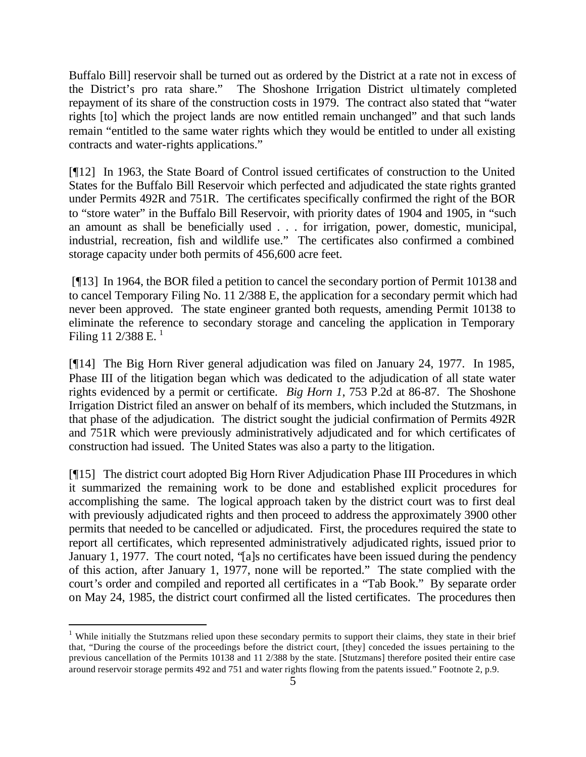Buffalo Bill] reservoir shall be turned out as ordered by the District at a rate not in excess of the District's pro rata share." The Shoshone Irrigation District ultimately completed repayment of its share of the construction costs in 1979. The contract also stated that "water rights [to] which the project lands are now entitled remain unchanged" and that such lands remain "entitled to the same water rights which they would be entitled to under all existing contracts and water-rights applications."

[¶12] In 1963, the State Board of Control issued certificates of construction to the United States for the Buffalo Bill Reservoir which perfected and adjudicated the state rights granted under Permits 492R and 751R. The certificates specifically confirmed the right of the BOR to "store water" in the Buffalo Bill Reservoir, with priority dates of 1904 and 1905, in "such an amount as shall be beneficially used . . . for irrigation, power, domestic, municipal, industrial, recreation, fish and wildlife use." The certificates also confirmed a combined storage capacity under both permits of 456,600 acre feet.

 [¶13] In 1964, the BOR filed a petition to cancel the secondary portion of Permit 10138 and to cancel Temporary Filing No. 11 2/388 E, the application for a secondary permit which had never been approved. The state engineer granted both requests, amending Permit 10138 to eliminate the reference to secondary storage and canceling the application in Temporary Filing 11 2/388 E.<sup>1</sup>

[¶14] The Big Horn River general adjudication was filed on January 24, 1977. In 1985, Phase III of the litigation began which was dedicated to the adjudication of all state water rights evidenced by a permit or certificate. *Big Horn 1*, 753 P.2d at 86-87. The Shoshone Irrigation District filed an answer on behalf of its members, which included the Stutzmans, in that phase of the adjudication. The district sought the judicial confirmation of Permits 492R and 751R which were previously administratively adjudicated and for which certificates of construction had issued. The United States was also a party to the litigation.

[¶15] The district court adopted Big Horn River Adjudication Phase III Procedures in which it summarized the remaining work to be done and established explicit procedures for accomplishing the same. The logical approach taken by the district court was to first deal with previously adjudicated rights and then proceed to address the approximately 3900 other permits that needed to be cancelled or adjudicated. First, the procedures required the state to report all certificates, which represented administratively adjudicated rights, issued prior to January 1, 1977. The court noted, "[a]s no certificates have been issued during the pendency of this action, after January 1, 1977, none will be reported." The state complied with the court's order and compiled and reported all certificates in a "Tab Book." By separate order on May 24, 1985, the district court confirmed all the listed certificates. The procedures then

<sup>&</sup>lt;sup>1</sup> While initially the Stutzmans relied upon these secondary permits to support their claims, they state in their brief that, "During the course of the proceedings before the district court, [they] conceded the issues pertaining to the previous cancellation of the Permits 10138 and 11 2/388 by the state. [Stutzmans] therefore posited their entire case around reservoir storage permits 492 and 751 and water rights flowing from the patents issued." Footnote 2, p.9.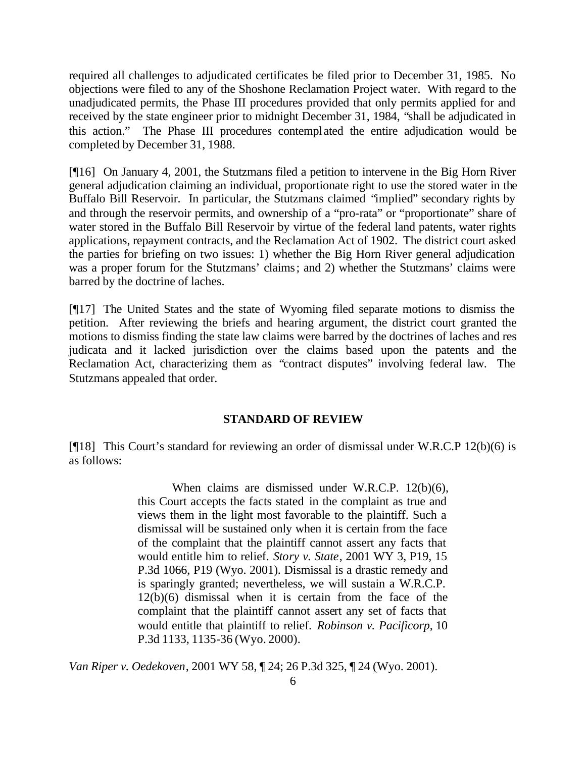required all challenges to adjudicated certificates be filed prior to December 31, 1985. No objections were filed to any of the Shoshone Reclamation Project water. With regard to the unadjudicated permits, the Phase III procedures provided that only permits applied for and received by the state engineer prior to midnight December 31, 1984, "shall be adjudicated in this action." The Phase III procedures contemplated the entire adjudication would be completed by December 31, 1988.

[¶16] On January 4, 2001, the Stutzmans filed a petition to intervene in the Big Horn River general adjudication claiming an individual, proportionate right to use the stored water in the Buffalo Bill Reservoir. In particular, the Stutzmans claimed "implied" secondary rights by and through the reservoir permits, and ownership of a "pro-rata" or "proportionate" share of water stored in the Buffalo Bill Reservoir by virtue of the federal land patents, water rights applications, repayment contracts, and the Reclamation Act of 1902. The district court asked the parties for briefing on two issues: 1) whether the Big Horn River general adjudication was a proper forum for the Stutzmans' claims; and 2) whether the Stutzmans' claims were barred by the doctrine of laches.

[¶17] The United States and the state of Wyoming filed separate motions to dismiss the petition. After reviewing the briefs and hearing argument, the district court granted the motions to dismiss finding the state law claims were barred by the doctrines of laches and res judicata and it lacked jurisdiction over the claims based upon the patents and the Reclamation Act, characterizing them as "contract disputes" involving federal law. The Stutzmans appealed that order.

#### **STANDARD OF REVIEW**

[¶18] This Court's standard for reviewing an order of dismissal under W.R.C.P 12(b)(6) is as follows:

> When claims are dismissed under W.R.C.P. 12(b)(6), this Court accepts the facts stated in the complaint as true and views them in the light most favorable to the plaintiff. Such a dismissal will be sustained only when it is certain from the face of the complaint that the plaintiff cannot assert any facts that would entitle him to relief. *Story v. State*, 2001 WY 3, P19, 15 P.3d 1066, P19 (Wyo. 2001). Dismissal is a drastic remedy and is sparingly granted; nevertheless, we will sustain a W.R.C.P. 12(b)(6) dismissal when it is certain from the face of the complaint that the plaintiff cannot assert any set of facts that would entitle that plaintiff to relief. *Robinson v. Pacificorp*, 10 P.3d 1133, 1135-36 (Wyo. 2000).

*Van Riper v. Oedekoven*, 2001 WY 58, ¶ 24; 26 P.3d 325, ¶ 24 (Wyo. 2001).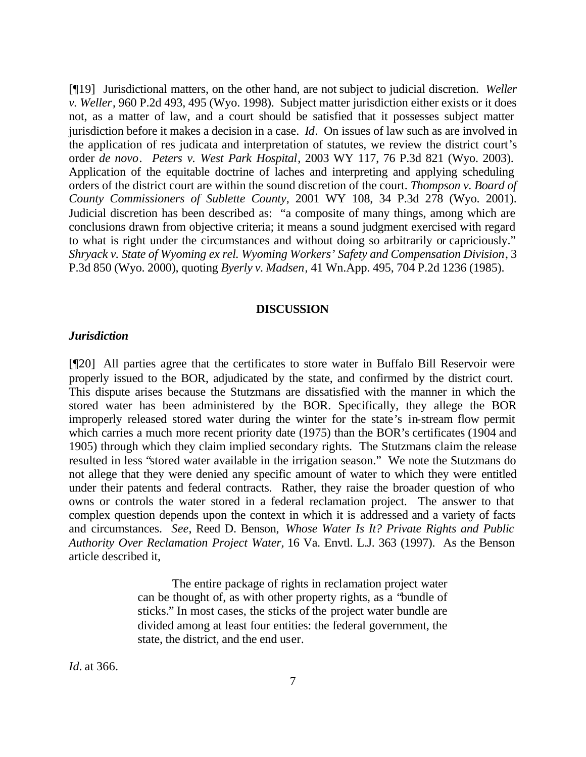[¶19] Jurisdictional matters, on the other hand, are not subject to judicial discretion. *Weller v. Weller*, 960 P.2d 493, 495 (Wyo. 1998). Subject matter jurisdiction either exists or it does not, as a matter of law, and a court should be satisfied that it possesses subject matter jurisdiction before it makes a decision in a case. *Id*. On issues of law such as are involved in the application of res judicata and interpretation of statutes, we review the district court's order *de novo*. *Peters v. West Park Hospital*, 2003 WY 117, 76 P.3d 821 (Wyo. 2003). Application of the equitable doctrine of laches and interpreting and applying scheduling orders of the district court are within the sound discretion of the court. *Thompson v. Board of County Commissioners of Sublette County*, 2001 WY 108, 34 P.3d 278 (Wyo. 2001). Judicial discretion has been described as: "a composite of many things, among which are conclusions drawn from objective criteria; it means a sound judgment exercised with regard to what is right under the circumstances and without doing so arbitrarily or capriciously." *Shryack v. State of Wyoming ex rel. Wyoming Workers' Safety and Compensation Division*, 3 P.3d 850 (Wyo. 2000), quoting *Byerly v. Madsen*, 41 Wn.App. 495, 704 P.2d 1236 (1985).

#### **DISCUSSION**

#### *Jurisdiction*

[¶20] All parties agree that the certificates to store water in Buffalo Bill Reservoir were properly issued to the BOR, adjudicated by the state, and confirmed by the district court. This dispute arises because the Stutzmans are dissatisfied with the manner in which the stored water has been administered by the BOR. Specifically, they allege the BOR improperly released stored water during the winter for the state's in-stream flow permit which carries a much more recent priority date (1975) than the BOR's certificates (1904 and 1905) through which they claim implied secondary rights. The Stutzmans claim the release resulted in less "stored water available in the irrigation season." We note the Stutzmans do not allege that they were denied any specific amount of water to which they were entitled under their patents and federal contracts. Rather, they raise the broader question of who owns or controls the water stored in a federal reclamation project. The answer to that complex question depends upon the context in which it is addressed and a variety of facts and circumstances. *See*, Reed D. Benson, *Whose Water Is It? Private Rights and Public Authority Over Reclamation Project Water,* 16 Va. Envtl. L.J. 363 (1997). As the Benson article described it,

> The entire package of rights in reclamation project water can be thought of, as with other property rights, as a "bundle of sticks." In most cases, the sticks of the project water bundle are divided among at least four entities: the federal government, the state, the district, and the end user.

*Id.* at 366.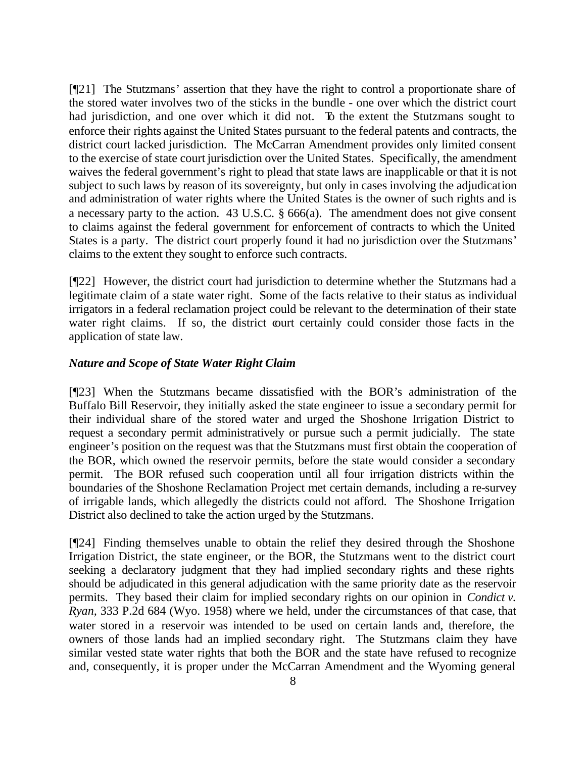[¶21] The Stutzmans' assertion that they have the right to control a proportionate share of the stored water involves two of the sticks in the bundle - one over which the district court had jurisdiction, and one over which it did not. To the extent the Stutzmans sought to enforce their rights against the United States pursuant to the federal patents and contracts, the district court lacked jurisdiction. The McCarran Amendment provides only limited consent to the exercise of state court jurisdiction over the United States. Specifically, the amendment waives the federal government's right to plead that state laws are inapplicable or that it is not subject to such laws by reason of its sovereignty, but only in cases involving the adjudication and administration of water rights where the United States is the owner of such rights and is a necessary party to the action. 43 U.S.C. § 666(a). The amendment does not give consent to claims against the federal government for enforcement of contracts to which the United States is a party. The district court properly found it had no jurisdiction over the Stutzmans' claims to the extent they sought to enforce such contracts.

[¶22] However, the district court had jurisdiction to determine whether the Stutzmans had a legitimate claim of a state water right. Some of the facts relative to their status as individual irrigators in a federal reclamation project could be relevant to the determination of their state water right claims. If so, the district court certainly could consider those facts in the application of state law.

### *Nature and Scope of State Water Right Claim*

[¶23] When the Stutzmans became dissatisfied with the BOR's administration of the Buffalo Bill Reservoir, they initially asked the state engineer to issue a secondary permit for their individual share of the stored water and urged the Shoshone Irrigation District to request a secondary permit administratively or pursue such a permit judicially. The state engineer's position on the request was that the Stutzmans must first obtain the cooperation of the BOR, which owned the reservoir permits, before the state would consider a secondary permit. The BOR refused such cooperation until all four irrigation districts within the boundaries of the Shoshone Reclamation Project met certain demands, including a re-survey of irrigable lands, which allegedly the districts could not afford. The Shoshone Irrigation District also declined to take the action urged by the Stutzmans.

[¶24] Finding themselves unable to obtain the relief they desired through the Shoshone Irrigation District, the state engineer, or the BOR, the Stutzmans went to the district court seeking a declaratory judgment that they had implied secondary rights and these rights should be adjudicated in this general adjudication with the same priority date as the reservoir permits. They based their claim for implied secondary rights on our opinion in *Condict v. Ryan,* 333 P.2d 684 (Wyo. 1958) where we held, under the circumstances of that case, that water stored in a reservoir was intended to be used on certain lands and, therefore, the owners of those lands had an implied secondary right. The Stutzmans claim they have similar vested state water rights that both the BOR and the state have refused to recognize and, consequently, it is proper under the McCarran Amendment and the Wyoming general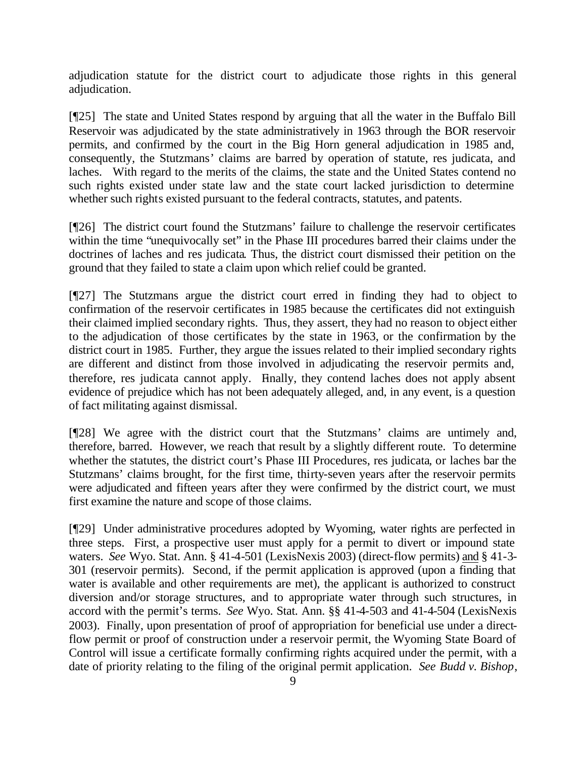adjudication statute for the district court to adjudicate those rights in this general adjudication.

[¶25] The state and United States respond by arguing that all the water in the Buffalo Bill Reservoir was adjudicated by the state administratively in 1963 through the BOR reservoir permits, and confirmed by the court in the Big Horn general adjudication in 1985 and, consequently, the Stutzmans' claims are barred by operation of statute, res judicata, and laches. With regard to the merits of the claims, the state and the United States contend no such rights existed under state law and the state court lacked jurisdiction to determine whether such rights existed pursuant to the federal contracts, statutes, and patents.

[¶26] The district court found the Stutzmans' failure to challenge the reservoir certificates within the time "unequivocally set" in the Phase III procedures barred their claims under the doctrines of laches and res judicata*.* Thus, the district court dismissed their petition on the ground that they failed to state a claim upon which relief could be granted.

[¶27] The Stutzmans argue the district court erred in finding they had to object to confirmation of the reservoir certificates in 1985 because the certificates did not extinguish their claimed implied secondary rights. Thus, they assert, they had no reason to object either to the adjudication of those certificates by the state in 1963, or the confirmation by the district court in 1985. Further, they argue the issues related to their implied secondary rights are different and distinct from those involved in adjudicating the reservoir permits and, therefore, res judicata cannot apply. Finally, they contend laches does not apply absent evidence of prejudice which has not been adequately alleged, and, in any event, is a question of fact militating against dismissal.

[¶28] We agree with the district court that the Stutzmans' claims are untimely and, therefore, barred. However, we reach that result by a slightly different route. To determine whether the statutes, the district court's Phase III Procedures, res judicata*,* or laches bar the Stutzmans' claims brought, for the first time, thirty-seven years after the reservoir permits were adjudicated and fifteen years after they were confirmed by the district court, we must first examine the nature and scope of those claims.

[¶29] Under administrative procedures adopted by Wyoming, water rights are perfected in three steps. First, a prospective user must apply for a permit to divert or impound state waters. *See* Wyo. Stat. Ann. § 41-4-501 (LexisNexis 2003) (direct-flow permits) and § 41-3- 301 (reservoir permits). Second, if the permit application is approved (upon a finding that water is available and other requirements are met), the applicant is authorized to construct diversion and/or storage structures, and to appropriate water through such structures, in accord with the permit's terms. *See* Wyo. Stat. Ann. §§ 41-4-503 and 41-4-504 (LexisNexis 2003). Finally, upon presentation of proof of appropriation for beneficial use under a directflow permit or proof of construction under a reservoir permit, the Wyoming State Board of Control will issue a certificate formally confirming rights acquired under the permit, with a date of priority relating to the filing of the original permit application. *See Budd v. Bishop*,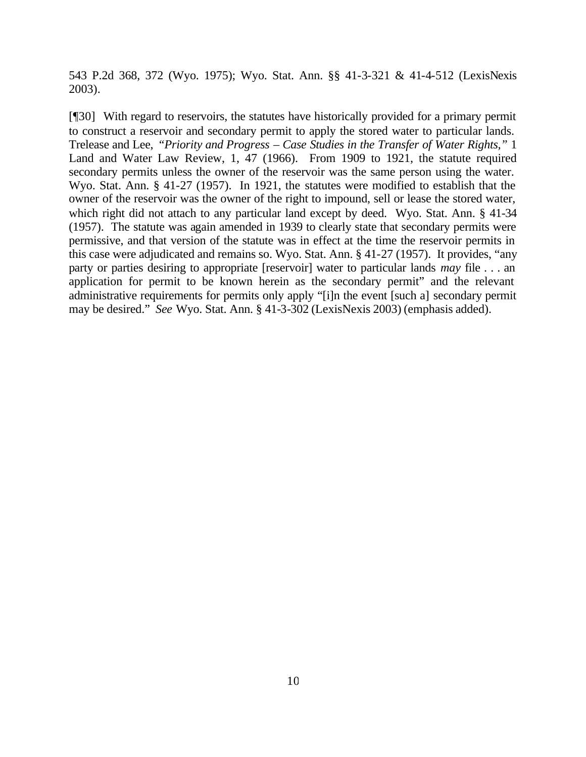543 P.2d 368, 372 (Wyo. 1975); Wyo. Stat. Ann. §§ 41-3-321 & 41-4-512 (LexisNexis 2003).

[¶30] With regard to reservoirs, the statutes have historically provided for a primary permit to construct a reservoir and secondary permit to apply the stored water to particular lands. Trelease and Lee, *"Priority and Progress – Case Studies in the Transfer of Water Rights,"* 1 Land and Water Law Review, 1, 47 (1966). From 1909 to 1921, the statute required secondary permits unless the owner of the reservoir was the same person using the water. Wyo. Stat. Ann. § 41-27 (1957). In 1921, the statutes were modified to establish that the owner of the reservoir was the owner of the right to impound, sell or lease the stored water, which right did not attach to any particular land except by deed. Wyo. Stat. Ann. § 41-34 (1957). The statute was again amended in 1939 to clearly state that secondary permits were permissive, and that version of the statute was in effect at the time the reservoir permits in this case were adjudicated and remains so. Wyo. Stat. Ann. § 41-27 (1957). It provides, "any party or parties desiring to appropriate [reservoir] water to particular lands *may* file . . . an application for permit to be known herein as the secondary permit" and the relevant administrative requirements for permits only apply "[i]n the event [such a] secondary permit may be desired." *See* Wyo. Stat. Ann. § 41-3-302 (LexisNexis 2003) (emphasis added).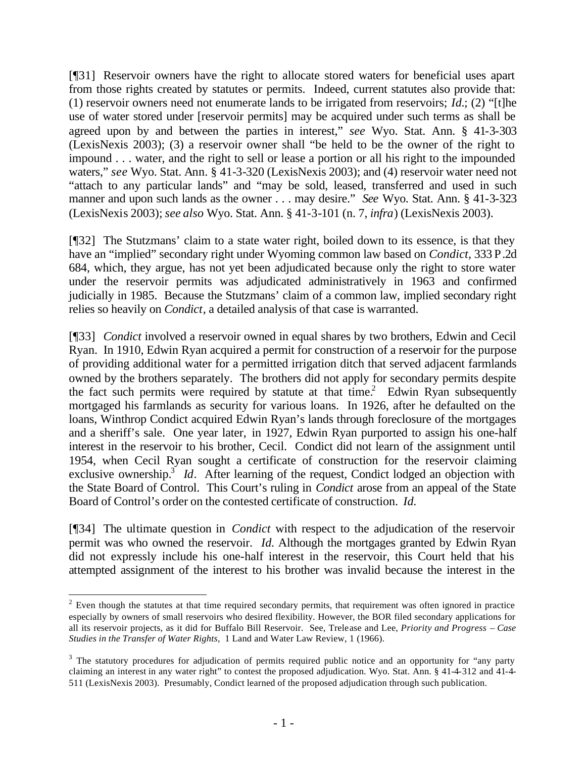[¶31] Reservoir owners have the right to allocate stored waters for beneficial uses apart from those rights created by statutes or permits. Indeed, current statutes also provide that: (1) reservoir owners need not enumerate lands to be irrigated from reservoirs; *Id.*; (2) "[t]he use of water stored under [reservoir permits] may be acquired under such terms as shall be agreed upon by and between the parties in interest," *see* Wyo. Stat. Ann. § 41-3-303 (LexisNexis 2003); (3) a reservoir owner shall "be held to be the owner of the right to impound . . . water, and the right to sell or lease a portion or all his right to the impounded waters," *see* Wyo. Stat. Ann. § 41-3-320 (LexisNexis 2003); and (4) reservoir water need not "attach to any particular lands" and "may be sold, leased, transferred and used in such manner and upon such lands as the owner . . . may desire." *See* Wyo. Stat. Ann. § 41-3-323 (LexisNexis 2003); *see also* Wyo. Stat. Ann. § 41-3-101 (n. 7, *infra*) (LexisNexis 2003).

[¶32] The Stutzmans' claim to a state water right, boiled down to its essence, is that they have an "implied" secondary right under Wyoming common law based on *Condict,* 333 P.2d 684, which, they argue, has not yet been adjudicated because only the right to store water under the reservoir permits was adjudicated administratively in 1963 and confirmed judicially in 1985. Because the Stutzmans' claim of a common law, implied secondary right relies so heavily on *Condict*, a detailed analysis of that case is warranted.

[¶33] *Condict* involved a reservoir owned in equal shares by two brothers, Edwin and Cecil Ryan. In 1910, Edwin Ryan acquired a permit for construction of a reservoir for the purpose of providing additional water for a permitted irrigation ditch that served adjacent farmlands owned by the brothers separately. The brothers did not apply for secondary permits despite the fact such permits were required by statute at that time.<sup>2</sup> Edwin Ryan subsequently mortgaged his farmlands as security for various loans. In 1926, after he defaulted on the loans, Winthrop Condict acquired Edwin Ryan's lands through foreclosure of the mortgages and a sheriff's sale. One year later, in 1927, Edwin Ryan purported to assign his one-half interest in the reservoir to his brother, Cecil. Condict did not learn of the assignment until 1954, when Cecil Ryan sought a certificate of construction for the reservoir claiming exclusive ownership.<sup>3</sup> *Id*. After learning of the request, Condict lodged an objection with the State Board of Control. This Court's ruling in *Condict* arose from an appeal of the State Board of Control's order on the contested certificate of construction. *Id.*

[¶34] The ultimate question in *Condict* with respect to the adjudication of the reservoir permit was who owned the reservoir. *Id.* Although the mortgages granted by Edwin Ryan did not expressly include his one-half interest in the reservoir, this Court held that his attempted assignment of the interest to his brother was invalid because the interest in the

 $2$  Even though the statutes at that time required secondary permits, that requirement was often ignored in practice especially by owners of small reservoirs who desired flexibility. However, the BOR filed secondary applications for all its reservoir projects, as it did for Buffalo Bill Reservoir. See, Trelease and Lee, *Priority and Progress – Case Studies in the Transfer of Water Rights,* 1 Land and Water Law Review, 1 (1966).

 $3$  The statutory procedures for adjudication of permits required public notice and an opportunity for "any party claiming an interest in any water right" to contest the proposed adjudication. Wyo. Stat. Ann. § 41-4-312 and 41-4- 511 (LexisNexis 2003). Presumably, Condict learned of the proposed adjudication through such publication.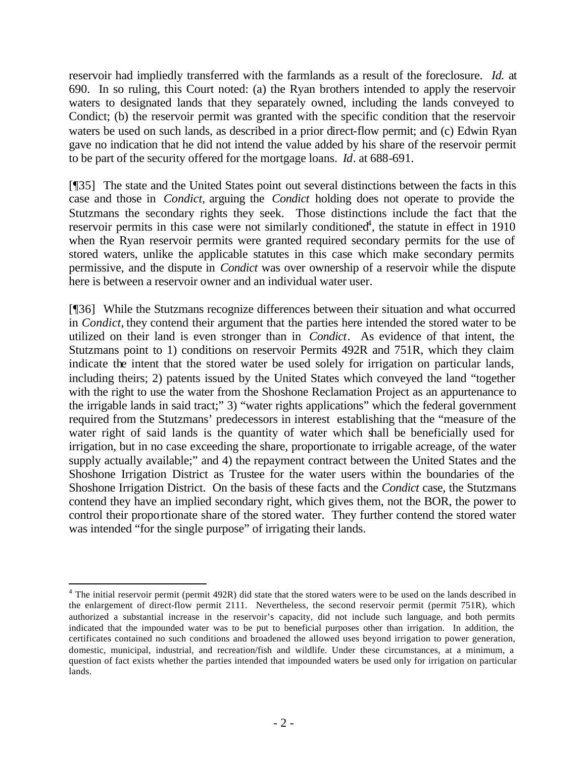reservoir had impliedly transferred with the farmlands as a result of the foreclosure. *Id.* at 690. In so ruling, this Court noted: (a) the Ryan brothers intended to apply the reservoir waters to designated lands that they separately owned, including the lands conveyed to Condict; (b) the reservoir permit was granted with the specific condition that the reservoir waters be used on such lands, as described in a prior direct-flow permit; and (c) Edwin Ryan gave no indication that he did not intend the value added by his share of the reservoir permit to be part of the security offered for the mortgage loans. *Id*. at 688-691.

[¶35] The state and the United States point out several distinctions between the facts in this case and those in *Condict,* arguing the *Condict* holding does not operate to provide the Stutzmans the secondary rights they seek. Those distinctions include the fact that the reservoir permits in this case were not similarly conditioned<sup>4</sup>, the statute in effect in  $1910$ when the Ryan reservoir permits were granted required secondary permits for the use of stored waters, unlike the applicable statutes in this case which make secondary permits permissive, and the dispute in *Condict* was over ownership of a reservoir while the dispute here is between a reservoir owner and an individual water user.

[¶36] While the Stutzmans recognize differences between their situation and what occurred in *Condict,* they contend their argument that the parties here intended the stored water to be utilized on their land is even stronger than in *Condict*. As evidence of that intent, the Stutzmans point to 1) conditions on reservoir Permits 492R and 751R, which they claim indicate the intent that the stored water be used solely for irrigation on particular lands, including theirs; 2) patents issued by the United States which conveyed the land "together with the right to use the water from the Shoshone Reclamation Project as an appurtenance to the irrigable lands in said tract;" 3) "water rights applications" which the federal government required from the Stutzmans' predecessors in interest establishing that the "measure of the water right of said lands is the quantity of water which shall be beneficially used for irrigation, but in no case exceeding the share, proportionate to irrigable acreage, of the water supply actually available;" and 4) the repayment contract between the United States and the Shoshone Irrigation District as Trustee for the water users within the boundaries of the Shoshone Irrigation District. On the basis of these facts and the *Condict* case, the Stutzmans contend they have an implied secondary right, which gives them, not the BOR, the power to control their proportionate share of the stored water. They further contend the stored water was intended "for the single purpose" of irrigating their lands.

 $4$  The initial reservoir permit (permit 492R) did state that the stored waters were to be used on the lands described in the enlargement of direct-flow permit 2111. Nevertheless, the second reservoir permit (permit 751R), which authorized a substantial increase in the reservoir's capacity, did not include such language, and both permits indicated that the impounded water was to be put to beneficial purposes other than irrigation. In addition, the certificates contained no such conditions and broadened the allowed uses beyond irrigation to power generation, domestic, municipal, industrial, and recreation/fish and wildlife. Under these circumstances, at a minimum, a question of fact exists whether the parties intended that impounded waters be used only for irrigation on particular lands.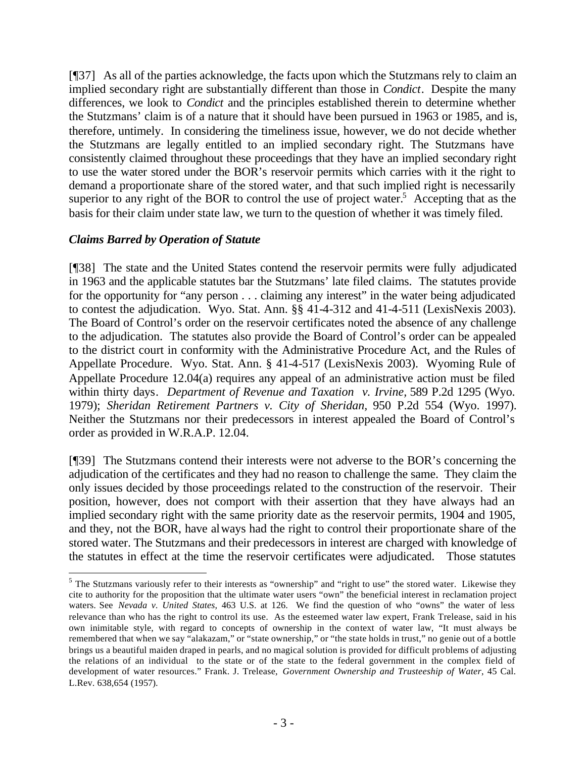[¶37] As all of the parties acknowledge, the facts upon which the Stutzmans rely to claim an implied secondary right are substantially different than those in *Condict*. Despite the many differences, we look to *Condict* and the principles established therein to determine whether the Stutzmans' claim is of a nature that it should have been pursued in 1963 or 1985, and is, therefore, untimely. In considering the timeliness issue, however, we do not decide whether the Stutzmans are legally entitled to an implied secondary right. The Stutzmans have consistently claimed throughout these proceedings that they have an implied secondary right to use the water stored under the BOR's reservoir permits which carries with it the right to demand a proportionate share of the stored water, and that such implied right is necessarily superior to any right of the BOR to control the use of project water.<sup>5</sup> Accepting that as the basis for their claim under state law, we turn to the question of whether it was timely filed.

## *Claims Barred by Operation of Statute*

l

[¶38] The state and the United States contend the reservoir permits were fully adjudicated in 1963 and the applicable statutes bar the Stutzmans' late filed claims. The statutes provide for the opportunity for "any person . . . claiming any interest" in the water being adjudicated to contest the adjudication. Wyo. Stat. Ann. §§ 41-4-312 and 41-4-511 (LexisNexis 2003). The Board of Control's order on the reservoir certificates noted the absence of any challenge to the adjudication. The statutes also provide the Board of Control's order can be appealed to the district court in conformity with the Administrative Procedure Act, and the Rules of Appellate Procedure. Wyo. Stat. Ann. § 41-4-517 (LexisNexis 2003). Wyoming Rule of Appellate Procedure 12.04(a) requires any appeal of an administrative action must be filed within thirty days. *Department of Revenue and Taxation v. Irvine,* 589 P.2d 1295 (Wyo. 1979); *Sheridan Retirement Partners v. City of Sheridan,* 950 P.2d 554 (Wyo. 1997). Neither the Stutzmans nor their predecessors in interest appealed the Board of Control's order as provided in W.R.A.P. 12.04.

[¶39] The Stutzmans contend their interests were not adverse to the BOR's concerning the adjudication of the certificates and they had no reason to challenge the same. They claim the only issues decided by those proceedings related to the construction of the reservoir. Their position, however, does not comport with their assertion that they have always had an implied secondary right with the same priority date as the reservoir permits, 1904 and 1905, and they, not the BOR, have always had the right to control their proportionate share of the stored water. The Stutzmans and their predecessors in interest are charged with knowledge of the statutes in effect at the time the reservoir certificates were adjudicated. Those statutes

<sup>&</sup>lt;sup>5</sup> The Stutzmans variously refer to their interests as "ownership" and "right to use" the stored water. Likewise they cite to authority for the proposition that the ultimate water users "own" the beneficial interest in reclamation project waters. See *Nevada v. United States,* 463 U.S. at 126. We find the question of who "owns" the water of less relevance than who has the right to control its use. As the esteemed water law expert, Frank Trelease, said in his own inimitable style, with regard to concepts of ownership in the context of water law, "It must always be remembered that when we say "alakazam," or "state ownership," or "the state holds in trust," no genie out of a bottle brings us a beautiful maiden draped in pearls, and no magical solution is provided for difficult problems of adjusting the relations of an individual to the state or of the state to the federal government in the complex field of development of water resources." Frank. J. Trelease, *Government Ownership and Trusteeship of Water*, 45 Cal. L.Rev. 638,654 (1957).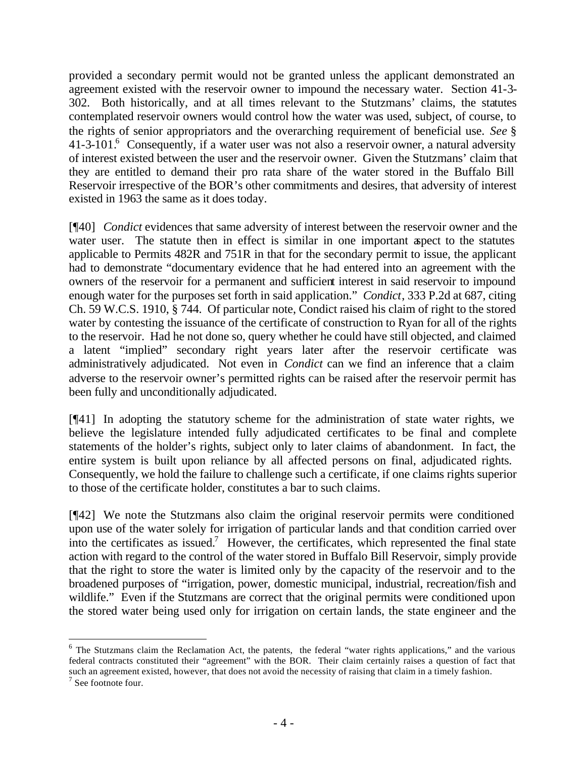provided a secondary permit would not be granted unless the applicant demonstrated an agreement existed with the reservoir owner to impound the necessary water. Section 41-3- 302. Both historically, and at all times relevant to the Stutzmans' claims, the statutes contemplated reservoir owners would control how the water was used, subject, of course, to the rights of senior appropriators and the overarching requirement of beneficial use. *See* § 41-3-101.<sup>6</sup> Consequently, if a water user was not also a reservoir owner, a natural adversity of interest existed between the user and the reservoir owner. Given the Stutzmans' claim that they are entitled to demand their pro rata share of the water stored in the Buffalo Bill Reservoir irrespective of the BOR's other commitments and desires, that adversity of interest existed in 1963 the same as it does today.

[¶40] *Condict* evidences that same adversity of interest between the reservoir owner and the water user. The statute then in effect is similar in one important aspect to the statutes applicable to Permits 482R and 751R in that for the secondary permit to issue, the applicant had to demonstrate "documentary evidence that he had entered into an agreement with the owners of the reservoir for a permanent and sufficient interest in said reservoir to impound enough water for the purposes set forth in said application." *Condict*, 333 P.2d at 687, citing Ch. 59 W.C.S. 1910, § 744. Of particular note, Condict raised his claim of right to the stored water by contesting the issuance of the certificate of construction to Ryan for all of the rights to the reservoir. Had he not done so, query whether he could have still objected, and claimed a latent "implied" secondary right years later after the reservoir certificate was administratively adjudicated. Not even in *Condict* can we find an inference that a claim adverse to the reservoir owner's permitted rights can be raised after the reservoir permit has been fully and unconditionally adjudicated.

[¶41] In adopting the statutory scheme for the administration of state water rights, we believe the legislature intended fully adjudicated certificates to be final and complete statements of the holder's rights, subject only to later claims of abandonment. In fact, the entire system is built upon reliance by all affected persons on final, adjudicated rights. Consequently, we hold the failure to challenge such a certificate, if one claims rights superior to those of the certificate holder, constitutes a bar to such claims.

[¶42] We note the Stutzmans also claim the original reservoir permits were conditioned upon use of the water solely for irrigation of particular lands and that condition carried over into the certificates as issued.<sup>7</sup> However, the certificates, which represented the final state action with regard to the control of the water stored in Buffalo Bill Reservoir, simply provide that the right to store the water is limited only by the capacity of the reservoir and to the broadened purposes of "irrigation, power, domestic municipal, industrial, recreation/fish and wildlife." Even if the Stutzmans are correct that the original permits were conditioned upon the stored water being used only for irrigation on certain lands, the state engineer and the

<sup>&</sup>lt;sup>6</sup> The Stutzmans claim the Reclamation Act, the patents, the federal "water rights applications," and the various federal contracts constituted their "agreement" with the BOR. Their claim certainly raises a question of fact that such an agreement existed, however, that does not avoid the necessity of raising that claim in a timely fashion.

<sup>7</sup> See footnote four.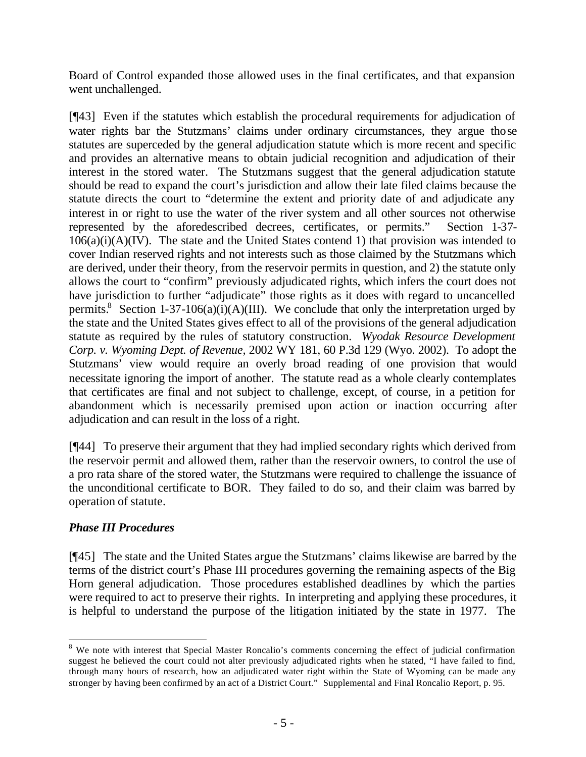Board of Control expanded those allowed uses in the final certificates, and that expansion went unchallenged.

[¶43] Even if the statutes which establish the procedural requirements for adjudication of water rights bar the Stutzmans' claims under ordinary circumstances, they argue those statutes are superceded by the general adjudication statute which is more recent and specific and provides an alternative means to obtain judicial recognition and adjudication of their interest in the stored water. The Stutzmans suggest that the general adjudication statute should be read to expand the court's jurisdiction and allow their late filed claims because the statute directs the court to "determine the extent and priority date of and adjudicate any interest in or right to use the water of the river system and all other sources not otherwise represented by the aforedescribed decrees, certificates, or permits." Section 1-37-  $106(a)(i)(A)(IV)$ . The state and the United States contend 1) that provision was intended to cover Indian reserved rights and not interests such as those claimed by the Stutzmans which are derived, under their theory, from the reservoir permits in question, and 2) the statute only allows the court to "confirm" previously adjudicated rights, which infers the court does not have jurisdiction to further "adjudicate" those rights as it does with regard to uncancelled permits.<sup>8</sup> Section 1-37-106(a)(i)(A)(III). We conclude that only the interpretation urged by the state and the United States gives effect to all of the provisions of the general adjudication statute as required by the rules of statutory construction. *Wyodak Resource Development Corp. v. Wyoming Dept. of Revenue,* 2002 WY 181, 60 P.3d 129 (Wyo. 2002). To adopt the Stutzmans' view would require an overly broad reading of one provision that would necessitate ignoring the import of another. The statute read as a whole clearly contemplates that certificates are final and not subject to challenge, except, of course, in a petition for abandonment which is necessarily premised upon action or inaction occurring after adjudication and can result in the loss of a right.

[¶44] To preserve their argument that they had implied secondary rights which derived from the reservoir permit and allowed them, rather than the reservoir owners, to control the use of a pro rata share of the stored water, the Stutzmans were required to challenge the issuance of the unconditional certificate to BOR. They failed to do so, and their claim was barred by operation of statute.

## *Phase III Procedures*

[¶45] The state and the United States argue the Stutzmans' claims likewise are barred by the terms of the district court's Phase III procedures governing the remaining aspects of the Big Horn general adjudication. Those procedures established deadlines by which the parties were required to act to preserve their rights. In interpreting and applying these procedures, it is helpful to understand the purpose of the litigation initiated by the state in 1977. The

l <sup>8</sup> We note with interest that Special Master Roncalio's comments concerning the effect of judicial confirmation suggest he believed the court could not alter previously adjudicated rights when he stated, "I have failed to find, through many hours of research, how an adjudicated water right within the State of Wyoming can be made any stronger by having been confirmed by an act of a District Court." Supplemental and Final Roncalio Report, p. 95.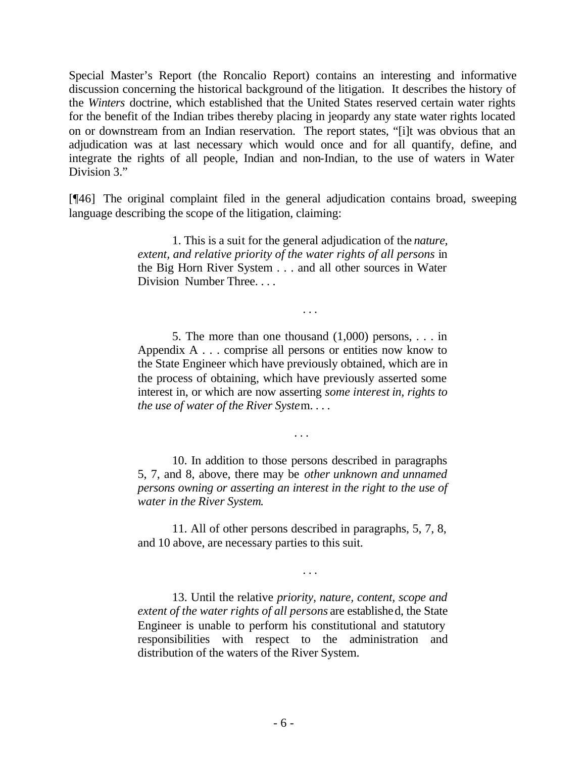Special Master's Report (the Roncalio Report) contains an interesting and informative discussion concerning the historical background of the litigation. It describes the history of the *Winters* doctrine, which established that the United States reserved certain water rights for the benefit of the Indian tribes thereby placing in jeopardy any state water rights located on or downstream from an Indian reservation. The report states, "[i]t was obvious that an adjudication was at last necessary which would once and for all quantify, define, and integrate the rights of all people, Indian and non-Indian, to the use of waters in Water Division 3."

[¶46] The original complaint filed in the general adjudication contains broad, sweeping language describing the scope of the litigation, claiming:

> 1. This is a suit for the general adjudication of the *nature, extent, and relative priority of the water rights of all persons* in the Big Horn River System . . . and all other sources in Water Division Number Three. . . .

> > . . .

5. The more than one thousand  $(1,000)$  persons, ... in Appendix A . . . comprise all persons or entities now know to the State Engineer which have previously obtained, which are in the process of obtaining, which have previously asserted some interest in, or which are now asserting *some interest in, rights to the use of water of the River Syste*m. . . .

. . .

10. In addition to those persons described in paragraphs 5, 7, and 8, above, there may be *other unknown and unnamed persons owning or asserting an interest in the right to the use of water in the River System*.

11. All of other persons described in paragraphs, 5, 7, 8, and 10 above, are necessary parties to this suit.

. . .

13. Until the relative *priority, nature, content, scope and extent of the water rights of all persons* are established, the State Engineer is unable to perform his constitutional and statutory responsibilities with respect to the administration and distribution of the waters of the River System.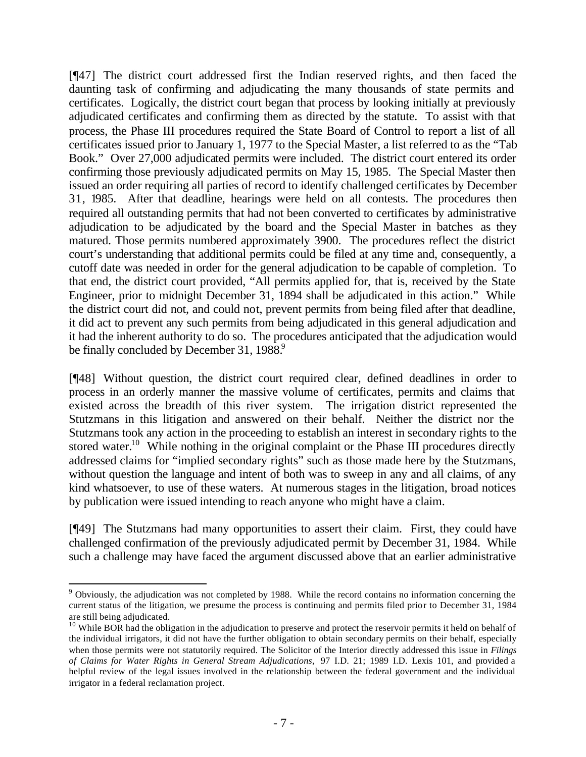[¶47] The district court addressed first the Indian reserved rights, and then faced the daunting task of confirming and adjudicating the many thousands of state permits and certificates. Logically, the district court began that process by looking initially at previously adjudicated certificates and confirming them as directed by the statute. To assist with that process, the Phase III procedures required the State Board of Control to report a list of all certificates issued prior to January 1, 1977 to the Special Master, a list referred to as the "Tab Book." Over 27,000 adjudicated permits were included. The district court entered its order confirming those previously adjudicated permits on May 15, 1985. The Special Master then issued an order requiring all parties of record to identify challenged certificates by December 31, 1985. After that deadline, hearings were held on all contests. The procedures then required all outstanding permits that had not been converted to certificates by administrative adjudication to be adjudicated by the board and the Special Master in batches as they matured. Those permits numbered approximately 3900. The procedures reflect the district court's understanding that additional permits could be filed at any time and, consequently, a cutoff date was needed in order for the general adjudication to be capable of completion. To that end, the district court provided, "All permits applied for, that is, received by the State Engineer, prior to midnight December 31, 1894 shall be adjudicated in this action." While the district court did not, and could not, prevent permits from being filed after that deadline, it did act to prevent any such permits from being adjudicated in this general adjudication and it had the inherent authority to do so. The procedures anticipated that the adjudication would be finally concluded by December 31, 1988.<sup>9</sup>

[¶48] Without question, the district court required clear, defined deadlines in order to process in an orderly manner the massive volume of certificates, permits and claims that existed across the breadth of this river system. The irrigation district represented the Stutzmans in this litigation and answered on their behalf. Neither the district nor the Stutzmans took any action in the proceeding to establish an interest in secondary rights to the stored water.<sup>10</sup> While nothing in the original complaint or the Phase III procedures directly addressed claims for "implied secondary rights" such as those made here by the Stutzmans, without question the language and intent of both was to sweep in any and all claims, of any kind whatsoever, to use of these waters. At numerous stages in the litigation, broad notices by publication were issued intending to reach anyone who might have a claim.

[¶49] The Stutzmans had many opportunities to assert their claim. First, they could have challenged confirmation of the previously adjudicated permit by December 31, 1984. While such a challenge may have faced the argument discussed above that an earlier administrative

 $9$  Obviously, the adjudication was not completed by 1988. While the record contains no information concerning the current status of the litigation, we presume the process is continuing and permits filed prior to December 31, 1984 are still being adjudicated.

 $10$  While BOR had the obligation in the adjudication to preserve and protect the reservoir permits it held on behalf of the individual irrigators, it did not have the further obligation to obtain secondary permits on their behalf, especially when those permits were not statutorily required. The Solicitor of the Interior directly addressed this issue in *Filings of Claims for Water Rights in General Stream Adjudications,* 97 I.D. 21; 1989 I.D. Lexis 101, and provided a helpful review of the legal issues involved in the relationship between the federal government and the individual irrigator in a federal reclamation project.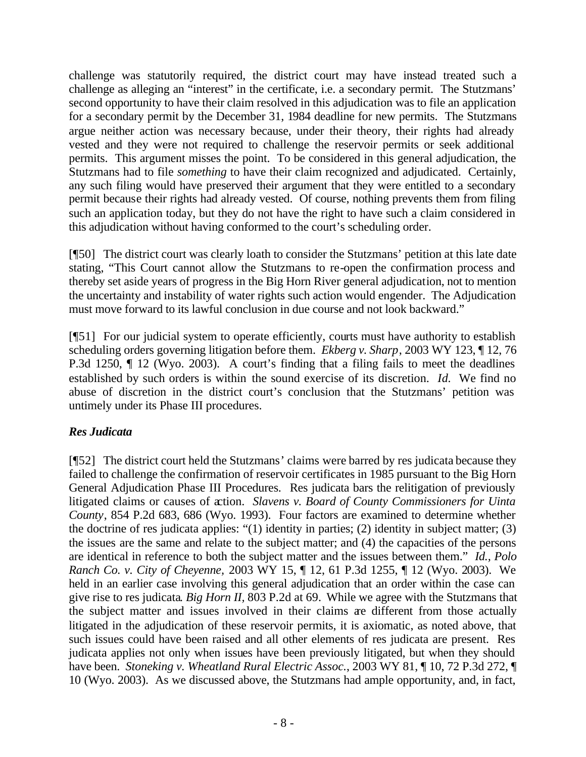challenge was statutorily required, the district court may have instead treated such a challenge as alleging an "interest" in the certificate, i.e. a secondary permit. The Stutzmans' second opportunity to have their claim resolved in this adjudication was to file an application for a secondary permit by the December 31, 1984 deadline for new permits. The Stutzmans argue neither action was necessary because, under their theory, their rights had already vested and they were not required to challenge the reservoir permits or seek additional permits. This argument misses the point. To be considered in this general adjudication, the Stutzmans had to file *something* to have their claim recognized and adjudicated. Certainly, any such filing would have preserved their argument that they were entitled to a secondary permit because their rights had already vested. Of course, nothing prevents them from filing such an application today, but they do not have the right to have such a claim considered in this adjudication without having conformed to the court's scheduling order.

[¶50] The district court was clearly loath to consider the Stutzmans' petition at this late date stating, "This Court cannot allow the Stutzmans to re-open the confirmation process and thereby set aside years of progress in the Big Horn River general adjudication, not to mention the uncertainty and instability of water rights such action would engender. The Adjudication must move forward to its lawful conclusion in due course and not look backward."

[¶51] For our judicial system to operate efficiently, courts must have authority to establish scheduling orders governing litigation before them. *Ekberg v. Sharp*, 2003 WY 123, ¶ 12, 76 P.3d 1250, ¶ 12 (Wyo. 2003). A court's finding that a filing fails to meet the deadlines established by such orders is within the sound exercise of its discretion. *Id.* We find no abuse of discretion in the district court's conclusion that the Stutzmans' petition was untimely under its Phase III procedures.

## *Res Judicata*

[¶52] The district court held the Stutzmans' claims were barred by res judicata because they failed to challenge the confirmation of reservoir certificates in 1985 pursuant to the Big Horn General Adjudication Phase III Procedures. Res judicata bars the relitigation of previously litigated claims or causes of action. *Slavens v. Board of County Commissioners for Uinta County*, 854 P.2d 683, 686 (Wyo. 1993). Four factors are examined to determine whether the doctrine of res judicata applies: "(1) identity in parties; (2) identity in subject matter; (3) the issues are the same and relate to the subject matter; and (4) the capacities of the persons are identical in reference to both the subject matter and the issues between them." *Id., Polo Ranch Co. v. City of Cheyenne,* 2003 WY 15, ¶ 12, 61 P.3d 1255, ¶ 12 (Wyo. 2003). We held in an earlier case involving this general adjudication that an order within the case can give rise to res judicata*. Big Horn II,* 803 P.2d at 69.While we agree with the Stutzmans that the subject matter and issues involved in their claims are different from those actually litigated in the adjudication of these reservoir permits, it is axiomatic, as noted above, that such issues could have been raised and all other elements of res judicata are present. Res judicata applies not only when issues have been previously litigated, but when they should have been. *Stoneking v. Wheatland Rural Electric Assoc.*, 2003 WY 81, ¶ 10, 72 P.3d 272, ¶ 10 (Wyo. 2003). As we discussed above, the Stutzmans had ample opportunity, and, in fact,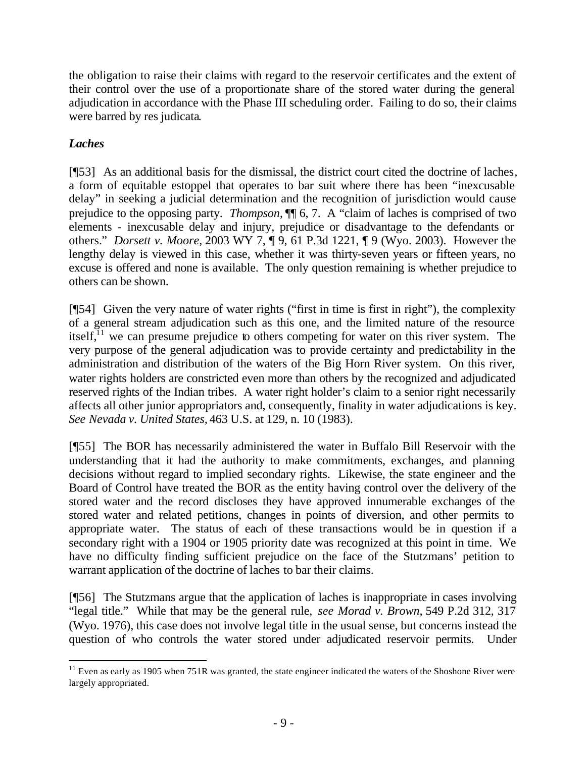the obligation to raise their claims with regard to the reservoir certificates and the extent of their control over the use of a proportionate share of the stored water during the general adjudication in accordance with the Phase III scheduling order. Failing to do so, their claims were barred by res judicata*.*

# *Laches*

[¶53] As an additional basis for the dismissal, the district court cited the doctrine of laches*,*  a form of equitable estoppel that operates to bar suit where there has been "inexcusable delay" in seeking a judicial determination and the recognition of jurisdiction would cause prejudice to the opposing party. *Thompson,* ¶¶ 6, 7. A "claim of laches is comprised of two elements - inexcusable delay and injury, prejudice or disadvantage to the defendants or others." *Dorsett v. Moore,* 2003 WY 7, ¶ 9, 61 P.3d 1221, ¶ 9 (Wyo. 2003). However the lengthy delay is viewed in this case, whether it was thirty-seven years or fifteen years, no excuse is offered and none is available. The only question remaining is whether prejudice to others can be shown.

[¶54] Given the very nature of water rights ("first in time is first in right"), the complexity of a general stream adjudication such as this one, and the limited nature of the resource itself, $^{11}$  we can presume prejudice to others competing for water on this river system. The very purpose of the general adjudication was to provide certainty and predictability in the administration and distribution of the waters of the Big Horn River system. On this river, water rights holders are constricted even more than others by the recognized and adjudicated reserved rights of the Indian tribes. A water right holder's claim to a senior right necessarily affects all other junior appropriators and, consequently, finality in water adjudications is key. *See Nevada v. United States,* 463 U.S. at 129, n. 10 (1983).

[¶55] The BOR has necessarily administered the water in Buffalo Bill Reservoir with the understanding that it had the authority to make commitments, exchanges, and planning decisions without regard to implied secondary rights. Likewise, the state engineer and the Board of Control have treated the BOR as the entity having control over the delivery of the stored water and the record discloses they have approved innumerable exchanges of the stored water and related petitions, changes in points of diversion, and other permits to appropriate water. The status of each of these transactions would be in question if a secondary right with a 1904 or 1905 priority date was recognized at this point in time. We have no difficulty finding sufficient prejudice on the face of the Stutzmans' petition to warrant application of the doctrine of laches to bar their claims.

[¶56] The Stutzmans argue that the application of laches is inappropriate in cases involving "legal title." While that may be the general rule, *see Morad v. Brown,* 549 P.2d 312, 317 (Wyo. 1976), this case does not involve legal title in the usual sense, but concerns instead the question of who controls the water stored under adjudicated reservoir permits. Under

l  $11$  Even as early as 1905 when 751R was granted, the state engineer indicated the waters of the Shoshone River were largely appropriated.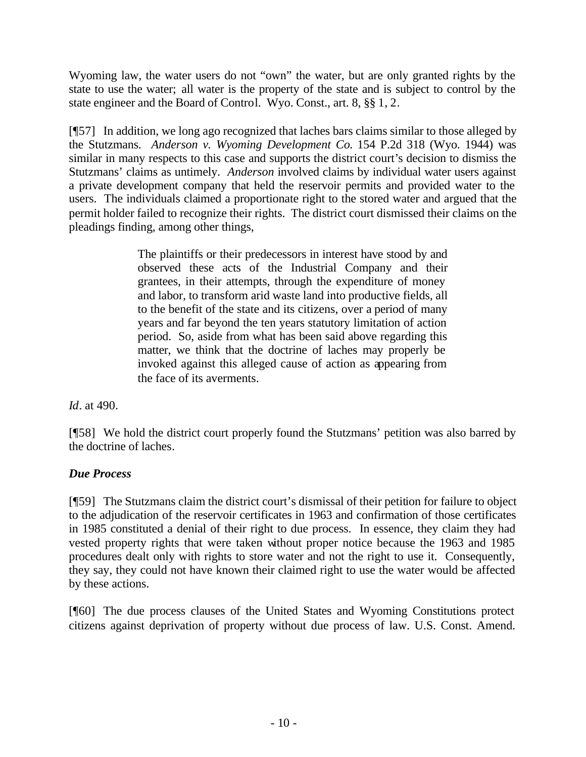Wyoming law, the water users do not "own" the water, but are only granted rights by the state to use the water; all water is the property of the state and is subject to control by the state engineer and the Board of Control. Wyo. Const., art. 8, §§ 1, 2.

[¶57] In addition, we long ago recognized that laches bars claims similar to those alleged by the Stutzmans. *Anderson v. Wyoming Development Co.* 154 P.2d 318 (Wyo. 1944) was similar in many respects to this case and supports the district court's decision to dismiss the Stutzmans' claims as untimely. *Anderson* involved claims by individual water users against a private development company that held the reservoir permits and provided water to the users. The individuals claimed a proportionate right to the stored water and argued that the permit holder failed to recognize their rights. The district court dismissed their claims on the pleadings finding, among other things,

> The plaintiffs or their predecessors in interest have stood by and observed these acts of the Industrial Company and their grantees, in their attempts, through the expenditure of money and labor, to transform arid waste land into productive fields, all to the benefit of the state and its citizens, over a period of many years and far beyond the ten years statutory limitation of action period. So, aside from what has been said above regarding this matter, we think that the doctrine of laches may properly be invoked against this alleged cause of action as appearing from the face of its averments.

*Id*. at 490.

[¶58] We hold the district court properly found the Stutzmans' petition was also barred by the doctrine of laches*.*

# *Due Process*

[¶59] The Stutzmans claim the district court's dismissal of their petition for failure to object to the adjudication of the reservoir certificates in 1963 and confirmation of those certificates in 1985 constituted a denial of their right to due process. In essence, they claim they had vested property rights that were taken without proper notice because the 1963 and 1985 procedures dealt only with rights to store water and not the right to use it. Consequently, they say, they could not have known their claimed right to use the water would be affected by these actions.

[¶60] The due process clauses of the United States and Wyoming Constitutions protect citizens against deprivation of property without due process of law. U.S. Const. Amend.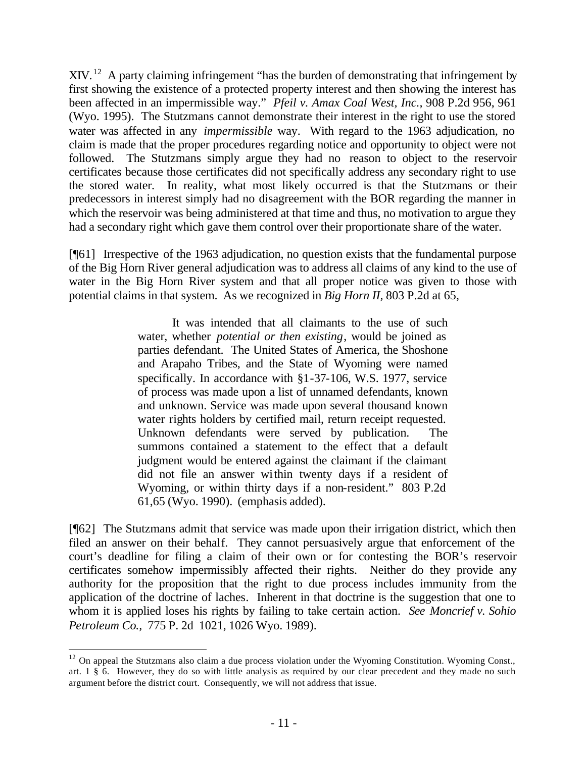XIV. <sup>12</sup> A party claiming infringement "has the burden of demonstrating that infringement by first showing the existence of a protected property interest and then showing the interest has been affected in an impermissible way." *Pfeil v. Amax Coal West, Inc.,* 908 P.2d 956, 961 (Wyo. 1995). The Stutzmans cannot demonstrate their interest in the right to use the stored water was affected in any *impermissible* way. With regard to the 1963 adjudication, no claim is made that the proper procedures regarding notice and opportunity to object were not followed. The Stutzmans simply argue they had no reason to object to the reservoir certificates because those certificates did not specifically address any secondary right to use the stored water. In reality, what most likely occurred is that the Stutzmans or their predecessors in interest simply had no disagreement with the BOR regarding the manner in which the reservoir was being administered at that time and thus, no motivation to argue they had a secondary right which gave them control over their proportionate share of the water.

[¶61] Irrespective of the 1963 adjudication, no question exists that the fundamental purpose of the Big Horn River general adjudication was to address all claims of any kind to the use of water in the Big Horn River system and that all proper notice was given to those with potential claims in that system. As we recognized in *Big Horn II,* 803 P.2d at 65,

> It was intended that all claimants to the use of such water, whether *potential or then existing*, would be joined as parties defendant. The United States of America, the Shoshone and Arapaho Tribes, and the State of Wyoming were named specifically. In accordance with §1-37-106, W.S. 1977, service of process was made upon a list of unnamed defendants, known and unknown. Service was made upon several thousand known water rights holders by certified mail, return receipt requested. Unknown defendants were served by publication. The summons contained a statement to the effect that a default judgment would be entered against the claimant if the claimant did not file an answer within twenty days if a resident of Wyoming, or within thirty days if a non-resident." 803 P.2d 61,65 (Wyo. 1990). (emphasis added).

[¶62] The Stutzmans admit that service was made upon their irrigation district, which then filed an answer on their behalf. They cannot persuasively argue that enforcement of the court's deadline for filing a claim of their own or for contesting the BOR's reservoir certificates somehow impermissibly affected their rights. Neither do they provide any authority for the proposition that the right to due process includes immunity from the application of the doctrine of laches*.* Inherent in that doctrine is the suggestion that one to whom it is applied loses his rights by failing to take certain action. *See Moncrief v. Sohio Petroleum Co.,* 775 P. 2d 1021, 1026 Wyo. 1989).

l <sup>12</sup> On appeal the Stutzmans also claim a due process violation under the Wyoming Constitution. Wyoming Const., art. 1 § 6. However, they do so with little analysis as required by our clear precedent and they made no such argument before the district court. Consequently, we will not address that issue.